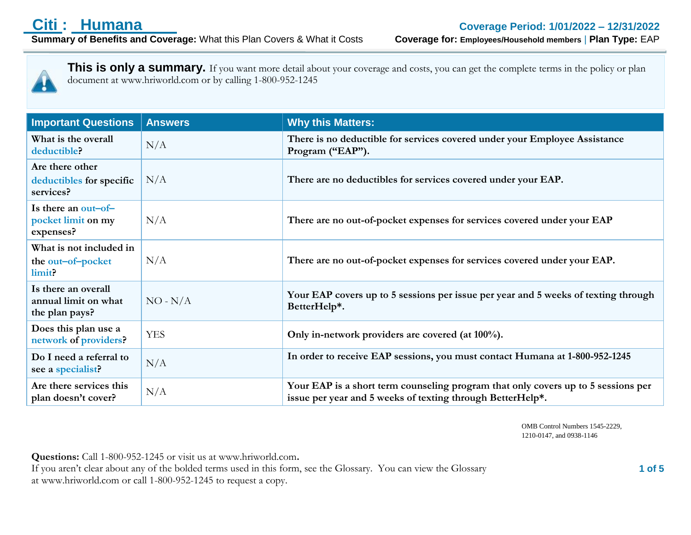

This is only a summary. If you want more detail about your coverage and costs, you can get the complete terms in the policy or plan document at www.hriworld.com or by calling 1-800-952-1245

| <b>Important Questions</b>                                    | <b>Answers</b> | <b>Why this Matters:</b>                                                                                                                        |
|---------------------------------------------------------------|----------------|-------------------------------------------------------------------------------------------------------------------------------------------------|
| What is the overall<br>deductible?                            | N/A            | There is no deductible for services covered under your Employee Assistance<br>Program ("EAP").                                                  |
| Are there other<br>deductibles for specific<br>services?      | N/A            | There are no deductibles for services covered under your EAP.                                                                                   |
| Is there an out-of-<br>pocket limit on my<br>expenses?        | N/A            | There are no out-of-pocket expenses for services covered under your EAP                                                                         |
| What is not included in<br>the out-of-pocket<br>limit?        | N/A            | There are no out-of-pocket expenses for services covered under your EAP.                                                                        |
| Is there an overall<br>annual limit on what<br>the plan pays? | $NO - N/A$     | Your EAP covers up to 5 sessions per issue per year and 5 weeks of texting through<br>BetterHelp*.                                              |
| Does this plan use a<br>network of providers?                 | <b>YES</b>     | Only in-network providers are covered (at 100%).                                                                                                |
| Do I need a referral to<br>see a specialist?                  | N/A            | In order to receive EAP sessions, you must contact Humana at 1-800-952-1245                                                                     |
| Are there services this<br>plan doesn't cover?                | N/A            | Your EAP is a short term counseling program that only covers up to 5 sessions per<br>issue per year and 5 weeks of texting through BetterHelp*. |

OMB Control Numbers 1545-2229, 1210-0147, and 0938-1146

**Questions:** Call 1-800-952-1245 or visit us at www.hriworld.com**.**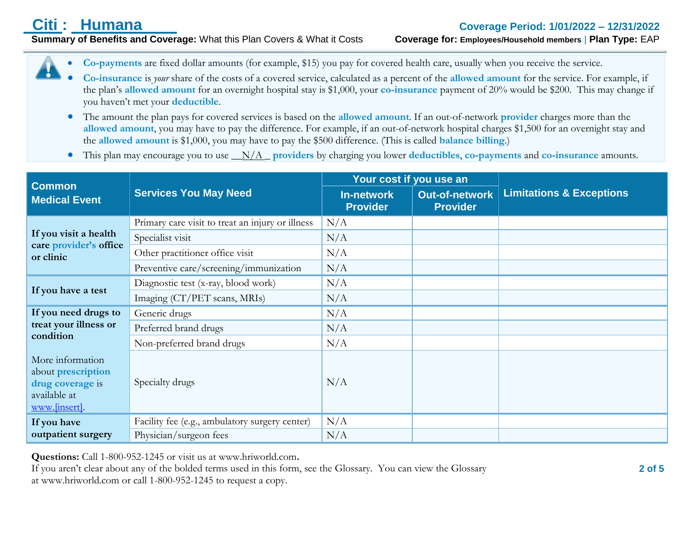**Summary of Benefits and Coverage:** What this Plan Covers & What it Costs **Coverage for: Employees/Household members** | **Plan Type:** EAP

- **Co-payments** are fixed dollar amounts (for example, \$15) you pay for covered health care, usually when you receive the service.
- **Co-insurance** is *your* share of the costs of a covered service, calculated as a percent of the **allowed amount** for the service. For example, if the plan's **allowed amount** for an overnight hospital stay is \$1,000, your **co-insurance** payment of 20% would be \$200. This may change if you haven't met your **deductible**.
- The amount the plan pays for covered services is based on the **allowed amount**. If an out-of-network **provider** charges more than the **allowed amount**, you may have to pay the difference. For example, if an out-of-network hospital charges \$1,500 for an overnight stay and the **allowed amount** is \$1,000, you may have to pay the \$500 difference. (This is called **balance billing**.)
- This plan may encourage you to use \_\_N/A \_ **providers** by charging you lower **deductibles**, **co-payments** and **co-insurance** amounts.

| <b>Common</b>                                                                                      |                                                  | Your cost if you use an              |                                          |                                     |
|----------------------------------------------------------------------------------------------------|--------------------------------------------------|--------------------------------------|------------------------------------------|-------------------------------------|
| <b>Medical Event</b>                                                                               | <b>Services You May Need</b>                     | <b>In-network</b><br><b>Provider</b> | <b>Out-of-network</b><br><b>Provider</b> | <b>Limitations &amp; Exceptions</b> |
| If you visit a health<br>care provider's office<br>or clinic                                       | Primary care visit to treat an injury or illness | N/A                                  |                                          |                                     |
|                                                                                                    | Specialist visit                                 | N/A                                  |                                          |                                     |
|                                                                                                    | Other practitioner office visit                  | N/A                                  |                                          |                                     |
|                                                                                                    | Preventive care/screening/immunization           | N/A                                  |                                          |                                     |
| If you have a test                                                                                 | Diagnostic test (x-ray, blood work)              | N/A                                  |                                          |                                     |
|                                                                                                    | Imaging (CT/PET scans, MRIs)                     | N/A                                  |                                          |                                     |
| If you need drugs to<br>treat your illness or<br>condition                                         | Generic drugs                                    | N/A                                  |                                          |                                     |
|                                                                                                    | Preferred brand drugs                            | N/A                                  |                                          |                                     |
|                                                                                                    | Non-preferred brand drugs                        | N/A                                  |                                          |                                     |
| More information<br>about <b>prescription</b><br>drug coverage is<br>available at<br>www.finsert]. | Specialty drugs                                  | N/A                                  |                                          |                                     |
| If you have                                                                                        | Facility fee (e.g., ambulatory surgery center)   | N/A                                  |                                          |                                     |
| outpatient surgery                                                                                 | Physician/surgeon fees                           | N/A                                  |                                          |                                     |

**Questions:** Call 1-800-952-1245 or visit us at www.hriworld.com**.**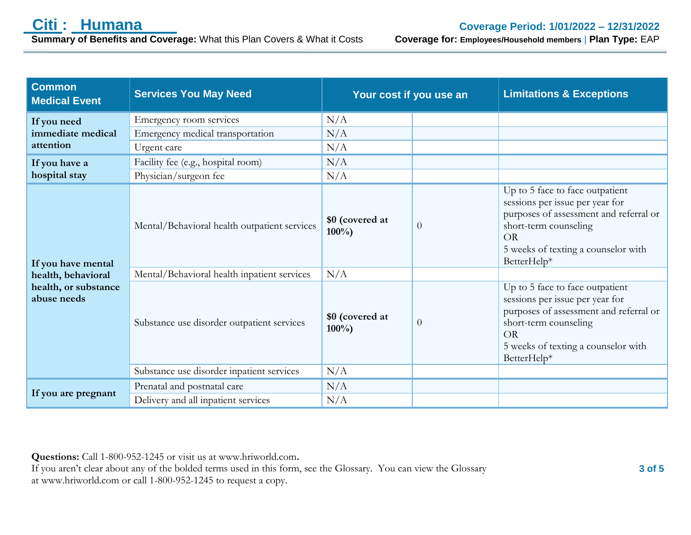**Summary of Benefits and Coverage: What this Plan Covers & What it Costs** 

| <b>Common</b><br><b>Medical Event</b>                                           | <b>Services You May Need</b>                 | Your cost if you use an    |                | <b>Limitations &amp; Exceptions</b>                                                                                                                                                                      |
|---------------------------------------------------------------------------------|----------------------------------------------|----------------------------|----------------|----------------------------------------------------------------------------------------------------------------------------------------------------------------------------------------------------------|
| If you need<br>immediate medical<br>attention                                   | Emergency room services                      | N/A                        |                |                                                                                                                                                                                                          |
|                                                                                 | Emergency medical transportation             | N/A                        |                |                                                                                                                                                                                                          |
|                                                                                 | Urgent care                                  | N/A                        |                |                                                                                                                                                                                                          |
| If you have a                                                                   | Facility fee (e.g., hospital room)           | N/A                        |                |                                                                                                                                                                                                          |
| hospital stay                                                                   | Physician/surgeon fee                        | N/A                        |                |                                                                                                                                                                                                          |
| If you have mental<br>health, behavioral<br>health, or substance<br>abuse needs | Mental/Behavioral health outpatient services | \$0 (covered at<br>$100\%$ | $\overline{0}$ | Up to 5 face to face outpatient<br>sessions per issue per year for<br>purposes of assessment and referral or<br>short-term counseling<br>OR<br>5 weeks of texting a counselor with<br>BetterHelp*        |
|                                                                                 | Mental/Behavioral health inpatient services  | N/A                        |                |                                                                                                                                                                                                          |
|                                                                                 | Substance use disorder outpatient services   | \$0 (covered at<br>$100\%$ | $\overline{0}$ | Up to 5 face to face outpatient<br>sessions per issue per year for<br>purposes of assessment and referral or<br>short-term counseling<br><b>OR</b><br>5 weeks of texting a counselor with<br>BetterHelp* |
|                                                                                 | Substance use disorder inpatient services    | N/A                        |                |                                                                                                                                                                                                          |
| If you are pregnant                                                             | Prenatal and postnatal care                  | N/A                        |                |                                                                                                                                                                                                          |
|                                                                                 | Delivery and all inpatient services          | N/A                        |                |                                                                                                                                                                                                          |

**Questions:** Call 1-800-952-1245 or visit us at www.hriworld.com**.**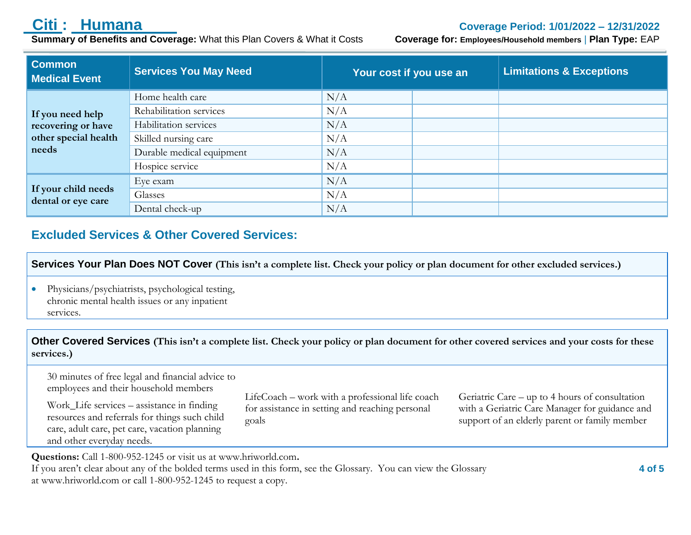**Summary of Benefits and Coverage:** What this Plan Covers & What it Costs **Coverage for: Employees/Household members** | **Plan Type:** EAP

## **Citi : Humana Coverage Period: 1/01/2022 – 12/31/2022**

| <b>Common</b><br><b>Medical Event</b>                                   | <b>Services You May Need</b> | Your cost if you use an | <b>Limitations &amp; Exceptions</b> |
|-------------------------------------------------------------------------|------------------------------|-------------------------|-------------------------------------|
| If you need help<br>recovering or have<br>other special health<br>needs | Home health care             | N/A                     |                                     |
|                                                                         | Rehabilitation services      | N/A                     |                                     |
|                                                                         | Habilitation services        | N/A                     |                                     |
|                                                                         | Skilled nursing care         | N/A                     |                                     |
|                                                                         | Durable medical equipment    | N/A                     |                                     |
|                                                                         | Hospice service              | N/A                     |                                     |
| If your child needs<br>dental or eye care                               | Eye exam                     | N/A                     |                                     |
|                                                                         | Glasses                      | N/A                     |                                     |
|                                                                         | Dental check-up              | N/A                     |                                     |

### **Excluded Services & Other Covered Services:**

**Services Your Plan Does NOT Cover (This isn't a complete list. Check your policy or plan document for other excluded services.)**

 Physicians/psychiatrists, psychological testing, chronic mental health issues or any inpatient services.

30 minutes of free legal and financial advice to

**Other Covered Services (This isn't a complete list. Check your policy or plan document for other covered services and your costs for these services.)**

employees and their household members Work\_Life services – assistance in finding resources and referrals for things such child care, adult care, pet care, vacation planning and other everyday needs. goals

LifeCoach – work with a professional life coach for assistance in setting and reaching personal

Geriatric Care – up to 4 hours of consultation with a Geriatric Care Manager for guidance and support of an elderly parent or family member

**Questions:** Call 1-800-952-1245 or visit us at www.hriworld.com**.**